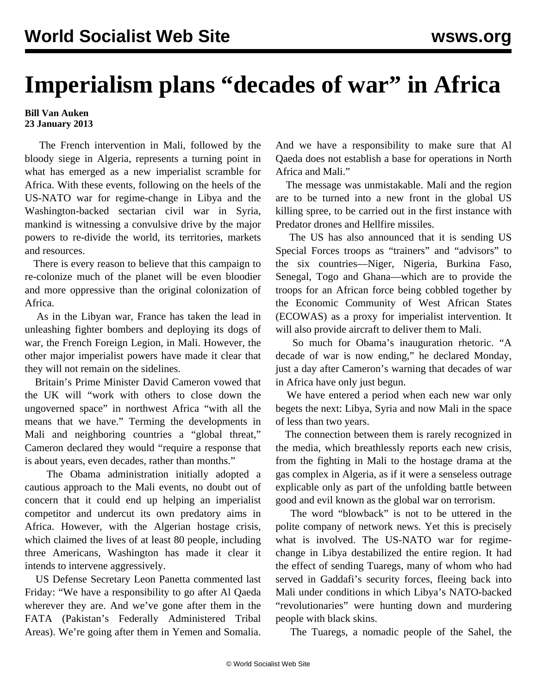## **Imperialism plans "decades of war" in Africa**

## **Bill Van Auken 23 January 2013**

 The French intervention in Mali, followed by the bloody siege in Algeria, represents a turning point in what has emerged as a new imperialist scramble for Africa. With these events, following on the heels of the US-NATO war for regime-change in Libya and the Washington-backed sectarian civil war in Syria, mankind is witnessing a convulsive drive by the major powers to re-divide the world, its territories, markets and resources.

 There is every reason to believe that this campaign to re-colonize much of the planet will be even bloodier and more oppressive than the original colonization of Africa.

 As in the Libyan war, France has taken the lead in unleashing fighter bombers and deploying its dogs of war, the French Foreign Legion, in Mali. However, the other major imperialist powers have made it clear that they will not remain on the sidelines.

 Britain's Prime Minister David Cameron vowed that the UK will "work with others to close down the ungoverned space" in northwest Africa "with all the means that we have." Terming the developments in Mali and neighboring countries a "global threat," Cameron declared they would "require a response that is about years, even decades, rather than months."

 The Obama administration initially adopted a cautious approach to the Mali events, no doubt out of concern that it could end up helping an imperialist competitor and undercut its own predatory aims in Africa. However, with the Algerian hostage crisis, which claimed the lives of at least 80 people, including three Americans, Washington has made it clear it intends to intervene aggressively.

 US Defense Secretary Leon Panetta commented last Friday: "We have a responsibility to go after Al Qaeda wherever they are. And we've gone after them in the FATA (Pakistan's Federally Administered Tribal Areas). We're going after them in Yemen and Somalia.

And we have a responsibility to make sure that Al Qaeda does not establish a base for operations in North Africa and Mali."

 The message was unmistakable. Mali and the region are to be turned into a new front in the global US killing spree, to be carried out in the first instance with Predator drones and Hellfire missiles.

 The US has also announced that it is sending US Special Forces troops as "trainers" and "advisors" to the six countries—Niger, Nigeria, Burkina Faso, Senegal, Togo and Ghana—which are to provide the troops for an African force being cobbled together by the Economic Community of West African States (ECOWAS) as a proxy for imperialist intervention. It will also provide aircraft to deliver them to Mali.

 So much for Obama's inauguration rhetoric. "A decade of war is now ending," he declared Monday, just a day after Cameron's warning that decades of war in Africa have only just begun.

 We have entered a period when each new war only begets the next: Libya, Syria and now Mali in the space of less than two years.

 The connection between them is rarely recognized in the media, which breathlessly reports each new crisis, from the fighting in Mali to the hostage drama at the gas complex in Algeria, as if it were a senseless outrage explicable only as part of the unfolding battle between good and evil known as the global war on terrorism.

 The word "blowback" is not to be uttered in the polite company of network news. Yet this is precisely what is involved. The US-NATO war for regimechange in Libya destabilized the entire region. It had the effect of sending Tuaregs, many of whom who had served in Gaddafi's security forces, fleeing back into Mali under conditions in which Libya's NATO-backed "revolutionaries" were hunting down and murdering people with black skins.

The Tuaregs, a nomadic people of the Sahel, the